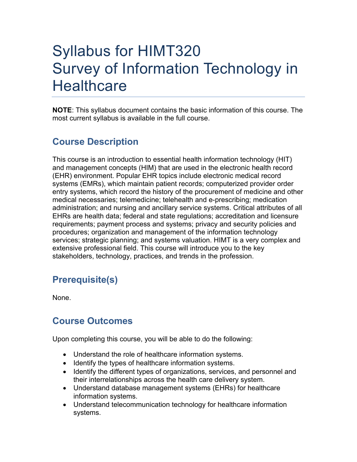# Syllabus for HIMT320 Survey of Information Technology in **Healthcare**

**NOTE**: This syllabus document contains the basic information of this course. The most current syllabus is available in the full course.

# **Course Description**

This course is an introduction to essential health information technology (HIT) and management concepts (HIM) that are used in the electronic health record (EHR) environment. Popular EHR topics include electronic medical record systems (EMRs), which maintain patient records; computerized provider order entry systems, which record the history of the procurement of medicine and other medical necessaries; telemedicine; telehealth and e-prescribing; medication administration; and nursing and ancillary service systems. Critical attributes of all EHRs are health data; federal and state regulations; accreditation and licensure requirements; payment process and systems; privacy and security policies and procedures; organization and management of the information technology services; strategic planning; and systems valuation. HIMT is a very complex and extensive professional field. This course will introduce you to the key stakeholders, technology, practices, and trends in the profession.

## **Prerequisite(s)**

None.

### **Course Outcomes**

Upon completing this course, you will be able to do the following:

- Understand the role of healthcare information systems.
- Identify the types of healthcare information systems.
- Identify the different types of organizations, services, and personnel and their interrelationships across the health care delivery system.
- Understand database management systems (EHRs) for healthcare information systems.
- Understand telecommunication technology for healthcare information systems.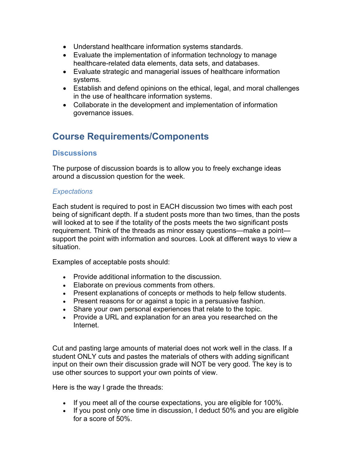- Understand healthcare information systems standards.
- Evaluate the implementation of information technology to manage healthcare-related data elements, data sets, and databases.
- Evaluate strategic and managerial issues of healthcare information systems.
- Establish and defend opinions on the ethical, legal, and moral challenges in the use of healthcare information systems.
- Collaborate in the development and implementation of information governance issues.

### **Course Requirements/Components**

#### **Discussions**

The purpose of discussion boards is to allow you to freely exchange ideas around a discussion question for the week.

#### *Expectations*

Each student is required to post in EACH discussion two times with each post being of significant depth. If a student posts more than two times, than the posts will looked at to see if the totality of the posts meets the two significant posts requirement. Think of the threads as minor essay questions—make a point support the point with information and sources. Look at different ways to view a situation.

Examples of acceptable posts should:

- Provide additional information to the discussion.
- Elaborate on previous comments from others.
- Present explanations of concepts or methods to help fellow students.
- Present reasons for or against a topic in a persuasive fashion.
- Share your own personal experiences that relate to the topic.
- Provide a URL and explanation for an area you researched on the Internet.

Cut and pasting large amounts of material does not work well in the class. If a student ONLY cuts and pastes the materials of others with adding significant input on their own their discussion grade will NOT be very good. The key is to use other sources to support your own points of view.

Here is the way I grade the threads:

- If you meet all of the course expectations, you are eligible for 100%.
- If you post only one time in discussion, I deduct 50% and you are eligible for a score of 50%.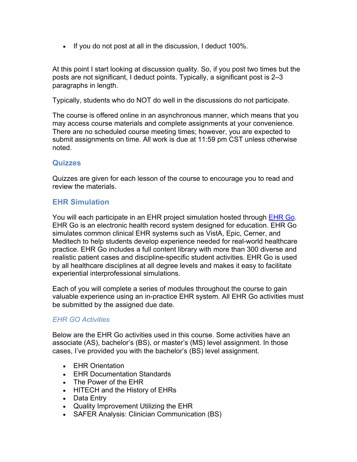• If you do not post at all in the discussion, I deduct 100%.

At this point I start looking at discussion quality. So, if you post two times but the posts are not significant, I deduct points. Typically, a significant post is 2–3 paragraphs in length.

Typically, students who do NOT do well in the discussions do not participate.

The course is offered online in an asynchronous manner, which means that you may access course materials and complete assignments at your convenience. There are no scheduled course meeting times; however, you are expected to submit assignments on time. All work is due at 11:59 pm CST unless otherwise noted.

#### **Quizzes**

Quizzes are given for each lesson of the course to encourage you to read and review the materials.

#### **EHR Simulation**

You will each participate in an EHR project simulation hosted through EHR Go. EHR Go is an electronic health record system designed for education. EHR Go simulates common clinical EHR systems such as VistA, Epic, Cerner, and Meditech to help students develop experience needed for real-world healthcare practice. EHR Go includes a full content library with more than 300 diverse and realistic patient cases and discipline-specific student activities. EHR Go is used by all healthcare disciplines at all degree levels and makes it easy to facilitate experiential interprofessional simulations.

Each of you will complete a series of modules throughout the course to gain valuable experience using an in-practice EHR system. All EHR Go activities must be submitted by the assigned due date.

#### *EHR GO Activities*

Below are the EHR Go activities used in this course. Some activities have an associate (AS), bachelor's (BS), or master's (MS) level assignment. In those cases, I've provided you with the bachelor's (BS) level assignment.

- EHR Orientation
- EHR Documentation Standards
- The Power of the EHR
- HITECH and the History of EHRs
- Data Entry
- Quality Improvement Utilizing the EHR
- SAFER Analysis: Clinician Communication (BS)